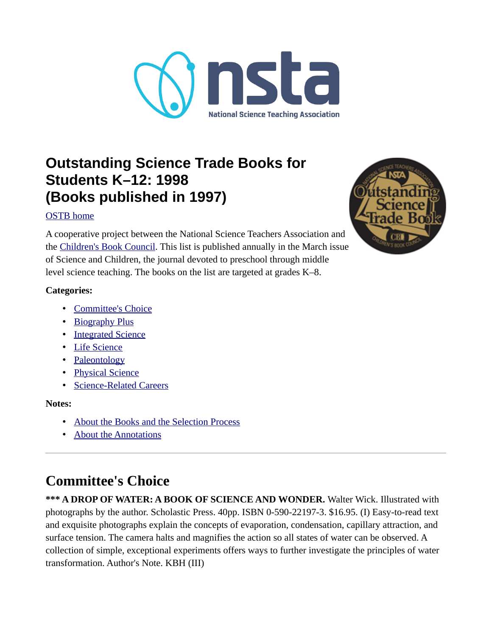

## **Outstanding Science Trade Books for Students K–12: 1998 (Books published in 1997)**

### [OSTB home](https://www.nsta.org/outstanding-science-trade-books-students-k-12)

A cooperative project between the National Science Teachers Association and the [Children's Book Council](http://www.CBCbooks.org/). This list is published annually in the March issue of Science and Children, the journal devoted to preschool through middle level science teaching. The books on the list are targeted at grades K–8.



### **Categories:**

- • [Committee's Choice](#page-0-0)
- • [Biography Plus](#page-1-0)
- • [Integrated Science](#page-2-0)
- • [Life Science](#page-3-0)
- • [Paleontology](#page-5-0)
- • [Physical Science](#page-6-1)
- • [Science-Related Careers](#page-6-0)

### **Notes:**

- • [About the Books and the Selection Process](#page-7-0)
- • [About the Annotations](#page-9-0)

# <span id="page-0-0"></span>**Committee's Choice**

**\*\*\* A DROP OF WATER: A BOOK OF SCIENCE AND WONDER.** Walter Wick. Illustrated with photographs by the author. Scholastic Press. 40pp. ISBN 0-590-22197-3. \$16.95. (I) Easy-to-read text and exquisite photographs explain the concepts of evaporation, condensation, capillary attraction, and surface tension. The camera halts and magnifies the action so all states of water can be observed. A collection of simple, exceptional experiments offers ways to further investigate the principles of water transformation. Author's Note. KBH (III)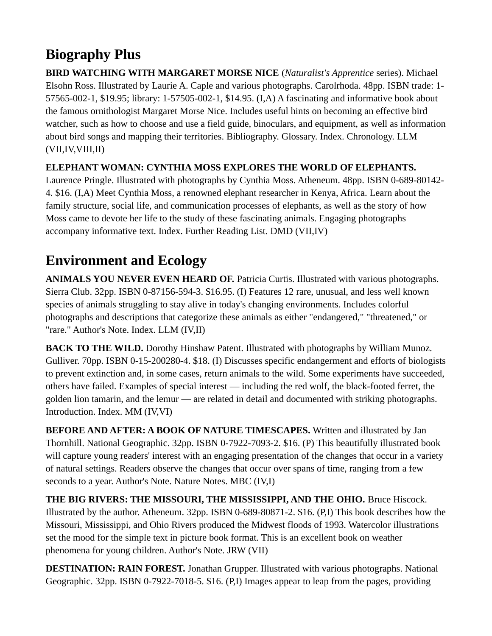# <span id="page-1-0"></span>**Biography Plus**

**BIRD WATCHING WITH MARGARET MORSE NICE** (*Naturalist's Apprentice* series). Michael Elsohn Ross. Illustrated by Laurie A. Caple and various photographs. Carolrhoda. 48pp. ISBN trade: 1- 57565-002-1, \$19.95; library: 1-57505-002-1, \$14.95. (I,A) A fascinating and informative book about the famous ornithologist Margaret Morse Nice. Includes useful hints on becoming an effective bird watcher, such as how to choose and use a field guide, binoculars, and equipment, as well as information about bird songs and mapping their territories. Bibliography. Glossary. Index. Chronology. LLM (VII,IV,VIII,II)

### **ELEPHANT WOMAN: CYNTHIA MOSS EXPLORES THE WORLD OF ELEPHANTS.**

Laurence Pringle. Illustrated with photographs by Cynthia Moss. Atheneum. 48pp. ISBN 0-689-80142- 4. \$16. (I,A) Meet Cynthia Moss, a renowned elephant researcher in Kenya, Africa. Learn about the family structure, social life, and communication processes of elephants, as well as the story of how Moss came to devote her life to the study of these fascinating animals. Engaging photographs accompany informative text. Index. Further Reading List. DMD (VII,IV)

## **Environment and Ecology**

**ANIMALS YOU NEVER EVEN HEARD OF.** Patricia Curtis. Illustrated with various photographs. Sierra Club. 32pp. ISBN 0-87156-594-3. \$16.95. (I) Features 12 rare, unusual, and less well known species of animals struggling to stay alive in today's changing environments. Includes colorful photographs and descriptions that categorize these animals as either "endangered," "threatened," or "rare." Author's Note. Index. LLM (IV,II)

**BACK TO THE WILD.** Dorothy Hinshaw Patent. Illustrated with photographs by William Munoz. Gulliver. 70pp. ISBN 0-15-200280-4. \$18. (I) Discusses specific endangerment and efforts of biologists to prevent extinction and, in some cases, return animals to the wild. Some experiments have succeeded, others have failed. Examples of special interest — including the red wolf, the black-footed ferret, the golden lion tamarin, and the lemur — are related in detail and documented with striking photographs. Introduction. Index. MM (IV,VI)

**BEFORE AND AFTER: A BOOK OF NATURE TIMESCAPES.** Written and illustrated by Jan Thornhill. National Geographic. 32pp. ISBN 0-7922-7093-2. \$16. (P) This beautifully illustrated book will capture young readers' interest with an engaging presentation of the changes that occur in a variety of natural settings. Readers observe the changes that occur over spans of time, ranging from a few seconds to a year. Author's Note. Nature Notes. MBC (IV,I)

**THE BIG RIVERS: THE MISSOURI, THE MISSISSIPPI, AND THE OHIO.** Bruce Hiscock. Illustrated by the author. Atheneum. 32pp. ISBN 0-689-80871-2. \$16. (P,I) This book describes how the Missouri, Mississippi, and Ohio Rivers produced the Midwest floods of 1993. Watercolor illustrations set the mood for the simple text in picture book format. This is an excellent book on weather phenomena for young children. Author's Note. JRW (VII)

**DESTINATION: RAIN FOREST.** Jonathan Grupper. Illustrated with various photographs. National Geographic. 32pp. ISBN 0-7922-7018-5. \$16. (P,I) Images appear to leap from the pages, providing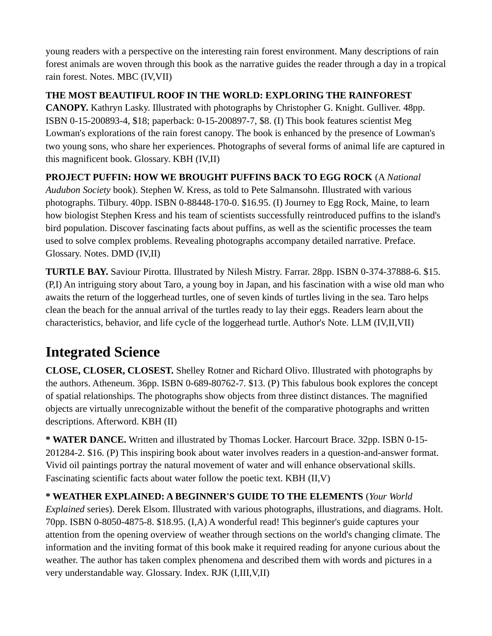young readers with a perspective on the interesting rain forest environment. Many descriptions of rain forest animals are woven through this book as the narrative guides the reader through a day in a tropical rain forest. Notes. MBC (IV,VII)

**THE MOST BEAUTIFUL ROOF IN THE WORLD: EXPLORING THE RAINFOREST** 

**CANOPY.** Kathryn Lasky. Illustrated with photographs by Christopher G. Knight. Gulliver. 48pp. ISBN 0-15-200893-4, \$18; paperback: 0-15-200897-7, \$8. (I) This book features scientist Meg Lowman's explorations of the rain forest canopy. The book is enhanced by the presence of Lowman's two young sons, who share her experiences. Photographs of several forms of animal life are captured in this magnificent book. Glossary. KBH (IV,II)

**PROJECT PUFFIN: HOW WE BROUGHT PUFFINS BACK TO EGG ROCK** (A *National* 

*Audubon Society* book). Stephen W. Kress, as told to Pete Salmansohn. Illustrated with various photographs. Tilbury. 40pp. ISBN 0-88448-170-0. \$16.95. (I) Journey to Egg Rock, Maine, to learn how biologist Stephen Kress and his team of scientists successfully reintroduced puffins to the island's bird population. Discover fascinating facts about puffins, as well as the scientific processes the team used to solve complex problems. Revealing photographs accompany detailed narrative. Preface. Glossary. Notes. DMD (IV,II)

**TURTLE BAY.** Saviour Pirotta. Illustrated by Nilesh Mistry. Farrar. 28pp. ISBN 0-374-37888-6. \$15. (P,I) An intriguing story about Taro, a young boy in Japan, and his fascination with a wise old man who awaits the return of the loggerhead turtles, one of seven kinds of turtles living in the sea. Taro helps clean the beach for the annual arrival of the turtles ready to lay their eggs. Readers learn about the characteristics, behavior, and life cycle of the loggerhead turtle. Author's Note. LLM (IV,II,VII)

# <span id="page-2-0"></span>**Integrated Science**

**CLOSE, CLOSER, CLOSEST.** Shelley Rotner and Richard Olivo. Illustrated with photographs by the authors. Atheneum. 36pp. ISBN 0-689-80762-7. \$13. (P) This fabulous book explores the concept of spatial relationships. The photographs show objects from three distinct distances. The magnified objects are virtually unrecognizable without the benefit of the comparative photographs and written descriptions. Afterword. KBH (II)

**\* WATER DANCE.** Written and illustrated by Thomas Locker. Harcourt Brace. 32pp. ISBN 0-15- 201284-2. \$16. (P) This inspiring book about water involves readers in a question-and-answer format. Vivid oil paintings portray the natural movement of water and will enhance observational skills. Fascinating scientific facts about water follow the poetic text. KBH (II,V)

**\* WEATHER EXPLAINED: A BEGINNER'S GUIDE TO THE ELEMENTS** (*Your World Explained* series). Derek Elsom. Illustrated with various photographs, illustrations, and diagrams. Holt. 70pp. ISBN 0-8050-4875-8. \$18.95. (I,A) A wonderful read! This beginner's guide captures your attention from the opening overview of weather through sections on the world's changing climate. The information and the inviting format of this book make it required reading for anyone curious about the weather. The author has taken complex phenomena and described them with words and pictures in a very understandable way. Glossary. Index. RJK (I,III,V,II)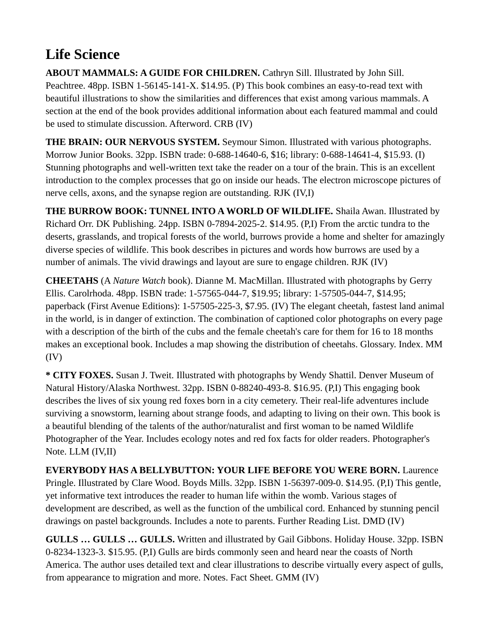# <span id="page-3-0"></span>**Life Science**

**ABOUT MAMMALS: A GUIDE FOR CHILDREN.** Cathryn Sill. Illustrated by John Sill. Peachtree. 48pp. ISBN 1-56145-141-X. \$14.95. (P) This book combines an easy-to-read text with beautiful illustrations to show the similarities and differences that exist among various mammals. A section at the end of the book provides additional information about each featured mammal and could be used to stimulate discussion. Afterword. CRB (IV)

**THE BRAIN: OUR NERVOUS SYSTEM.** Seymour Simon. Illustrated with various photographs. Morrow Junior Books. 32pp. ISBN trade: 0-688-14640-6, \$16; library: 0-688-14641-4, \$15.93. (I) Stunning photographs and well-written text take the reader on a tour of the brain. This is an excellent introduction to the complex processes that go on inside our heads. The electron microscope pictures of nerve cells, axons, and the synapse region are outstanding. RJK (IV,I)

**THE BURROW BOOK: TUNNEL INTO A WORLD OF WILDLIFE.** Shaila Awan. Illustrated by Richard Orr. DK Publishing. 24pp. ISBN 0-7894-2025-2. \$14.95. (P,I) From the arctic tundra to the deserts, grasslands, and tropical forests of the world, burrows provide a home and shelter for amazingly diverse species of wildlife. This book describes in pictures and words how burrows are used by a number of animals. The vivid drawings and layout are sure to engage children. RJK (IV)

**CHEETAHS** (A *Nature Watch* book). Dianne M. MacMillan. Illustrated with photographs by Gerry Ellis. Carolrhoda. 48pp. ISBN trade: 1-57565-044-7, \$19.95; library: 1-57505-044-7, \$14.95; paperback (First Avenue Editions): 1-57505-225-3, \$7.95. (IV) The elegant cheetah, fastest land animal in the world, is in danger of extinction. The combination of captioned color photographs on every page with a description of the birth of the cubs and the female cheetah's care for them for 16 to 18 months makes an exceptional book. Includes a map showing the distribution of cheetahs. Glossary. Index. MM (IV)

**\* CITY FOXES.** Susan J. Tweit. Illustrated with photographs by Wendy Shattil. Denver Museum of Natural History/Alaska Northwest. 32pp. ISBN 0-88240-493-8. \$16.95. (P,I) This engaging book describes the lives of six young red foxes born in a city cemetery. Their real-life adventures include surviving a snowstorm, learning about strange foods, and adapting to living on their own. This book is a beautiful blending of the talents of the author/naturalist and first woman to be named Wildlife Photographer of the Year. Includes ecology notes and red fox facts for older readers. Photographer's Note. LLM (IV,II)

**EVERYBODY HAS A BELLYBUTTON: YOUR LIFE BEFORE YOU WERE BORN.** Laurence Pringle. Illustrated by Clare Wood. Boyds Mills. 32pp. ISBN 1-56397-009-0. \$14.95. (P,I) This gentle, yet informative text introduces the reader to human life within the womb. Various stages of development are described, as well as the function of the umbilical cord. Enhanced by stunning pencil drawings on pastel backgrounds. Includes a note to parents. Further Reading List. DMD (IV)

**GULLS … GULLS … GULLS.** Written and illustrated by Gail Gibbons. Holiday House. 32pp. ISBN 0-8234-1323-3. \$15.95. (P,I) Gulls are birds commonly seen and heard near the coasts of North America. The author uses detailed text and clear illustrations to describe virtually every aspect of gulls, from appearance to migration and more. Notes. Fact Sheet. GMM (IV)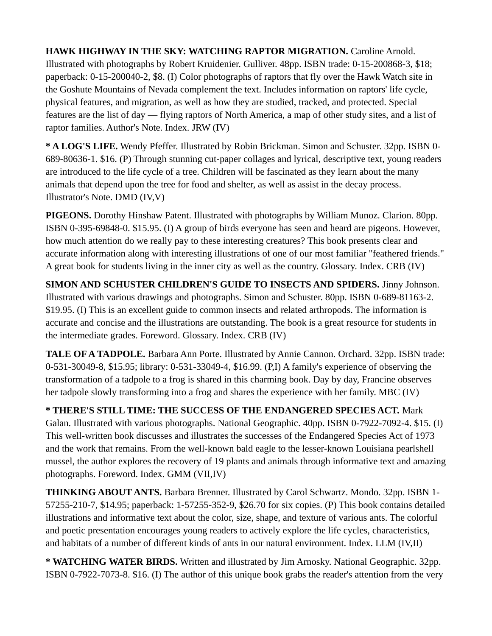**HAWK HIGHWAY IN THE SKY: WATCHING RAPTOR MIGRATION.** Caroline Arnold. Illustrated with photographs by Robert Kruidenier. Gulliver. 48pp. ISBN trade: 0-15-200868-3, \$18; paperback: 0-15-200040-2, \$8. (I) Color photographs of raptors that fly over the Hawk Watch site in the Goshute Mountains of Nevada complement the text. Includes information on raptors' life cycle, physical features, and migration, as well as how they are studied, tracked, and protected. Special features are the list of day — flying raptors of North America, a map of other study sites, and a list of raptor families. Author's Note. Index. JRW (IV)

**\* A LOG'S LIFE.** Wendy Pfeffer. Illustrated by Robin Brickman. Simon and Schuster. 32pp. ISBN 0- 689-80636-1. \$16. (P) Through stunning cut-paper collages and lyrical, descriptive text, young readers are introduced to the life cycle of a tree. Children will be fascinated as they learn about the many animals that depend upon the tree for food and shelter, as well as assist in the decay process. Illustrator's Note. DMD (IV,V)

**PIGEONS.** Dorothy Hinshaw Patent. Illustrated with photographs by William Munoz. Clarion. 80pp. ISBN 0-395-69848-0. \$15.95. (I) A group of birds everyone has seen and heard are pigeons. However, how much attention do we really pay to these interesting creatures? This book presents clear and accurate information along with interesting illustrations of one of our most familiar "feathered friends." A great book for students living in the inner city as well as the country. Glossary. Index. CRB (IV)

**SIMON AND SCHUSTER CHILDREN'S GUIDE TO INSECTS AND SPIDERS.** Jinny Johnson. Illustrated with various drawings and photographs. Simon and Schuster. 80pp. ISBN 0-689-81163-2. \$19.95. (I) This is an excellent guide to common insects and related arthropods. The information is accurate and concise and the illustrations are outstanding. The book is a great resource for students in the intermediate grades. Foreword. Glossary. Index. CRB (IV)

**TALE OF A TADPOLE.** Barbara Ann Porte. Illustrated by Annie Cannon. Orchard. 32pp. ISBN trade: 0-531-30049-8, \$15.95; library: 0-531-33049-4, \$16.99. (P,I) A family's experience of observing the transformation of a tadpole to a frog is shared in this charming book. Day by day, Francine observes her tadpole slowly transforming into a frog and shares the experience with her family. MBC (IV)

**\* THERE'S STILL TIME: THE SUCCESS OF THE ENDANGERED SPECIES ACT.** Mark Galan. Illustrated with various photographs. National Geographic. 40pp. ISBN 0-7922-7092-4. \$15. (I) This well-written book discusses and illustrates the successes of the Endangered Species Act of 1973 and the work that remains. From the well-known bald eagle to the lesser-known Louisiana pearlshell mussel, the author explores the recovery of 19 plants and animals through informative text and amazing photographs. Foreword. Index. GMM (VII,IV)

**THINKING ABOUT ANTS.** Barbara Brenner. Illustrated by Carol Schwartz. Mondo. 32pp. ISBN 1- 57255-210-7, \$14.95; paperback: 1-57255-352-9, \$26.70 for six copies. (P) This book contains detailed illustrations and informative text about the color, size, shape, and texture of various ants. The colorful and poetic presentation encourages young readers to actively explore the life cycles, characteristics, and habitats of a number of different kinds of ants in our natural environment. Index. LLM (IV,II)

**\* WATCHING WATER BIRDS.** Written and illustrated by Jim Arnosky. National Geographic. 32pp. ISBN 0-7922-7073-8. \$16. (I) The author of this unique book grabs the reader's attention from the very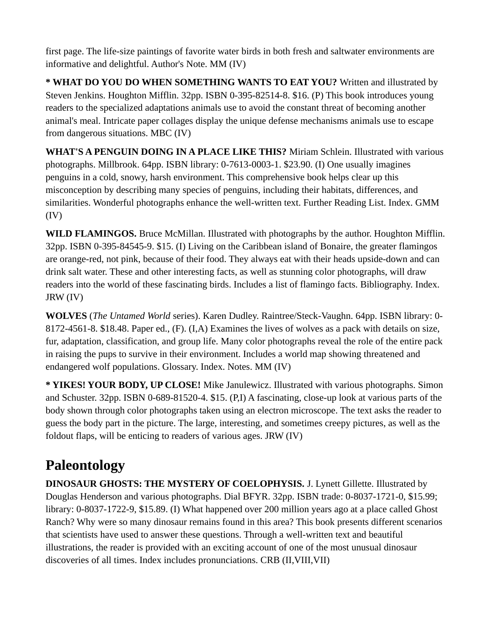first page. The life-size paintings of favorite water birds in both fresh and saltwater environments are informative and delightful. Author's Note. MM (IV)

**\* WHAT DO YOU DO WHEN SOMETHING WANTS TO EAT YOU?** Written and illustrated by Steven Jenkins. Houghton Mifflin. 32pp. ISBN 0-395-82514-8. \$16. (P) This book introduces young readers to the specialized adaptations animals use to avoid the constant threat of becoming another animal's meal. Intricate paper collages display the unique defense mechanisms animals use to escape from dangerous situations. MBC (IV)

**WHAT'S A PENGUIN DOING IN A PLACE LIKE THIS?** Miriam Schlein. Illustrated with various photographs. Millbrook. 64pp. ISBN library: 0-7613-0003-1. \$23.90. (I) One usually imagines penguins in a cold, snowy, harsh environment. This comprehensive book helps clear up this misconception by describing many species of penguins, including their habitats, differences, and similarities. Wonderful photographs enhance the well-written text. Further Reading List. Index. GMM (IV)

**WILD FLAMINGOS.** Bruce McMillan. Illustrated with photographs by the author. Houghton Mifflin. 32pp. ISBN 0-395-84545-9. \$15. (I) Living on the Caribbean island of Bonaire, the greater flamingos are orange-red, not pink, because of their food. They always eat with their heads upside-down and can drink salt water. These and other interesting facts, as well as stunning color photographs, will draw readers into the world of these fascinating birds. Includes a list of flamingo facts. Bibliography. Index. JRW (IV)

**WOLVES** (*The Untamed World* series). Karen Dudley. Raintree/Steck-Vaughn. 64pp. ISBN library: 0- 8172-4561-8. \$18.48. Paper ed., (F). (I,A) Examines the lives of wolves as a pack with details on size, fur, adaptation, classification, and group life. Many color photographs reveal the role of the entire pack in raising the pups to survive in their environment. Includes a world map showing threatened and endangered wolf populations. Glossary. Index. Notes. MM (IV)

**\* YIKES! YOUR BODY, UP CLOSE!** Mike Janulewicz. Illustrated with various photographs. Simon and Schuster. 32pp. ISBN 0-689-81520-4. \$15. (P,I) A fascinating, close-up look at various parts of the body shown through color photographs taken using an electron microscope. The text asks the reader to guess the body part in the picture. The large, interesting, and sometimes creepy pictures, as well as the foldout flaps, will be enticing to readers of various ages. JRW (IV)

## <span id="page-5-0"></span>**Paleontology**

**DINOSAUR GHOSTS: THE MYSTERY OF COELOPHYSIS.** J. Lynett Gillette. Illustrated by Douglas Henderson and various photographs. Dial BFYR. 32pp. ISBN trade: 0-8037-1721-0, \$15.99; library: 0-8037-1722-9, \$15.89. (I) What happened over 200 million years ago at a place called Ghost Ranch? Why were so many dinosaur remains found in this area? This book presents different scenarios that scientists have used to answer these questions. Through a well-written text and beautiful illustrations, the reader is provided with an exciting account of one of the most unusual dinosaur discoveries of all times. Index includes pronunciations. CRB (II,VIII,VII)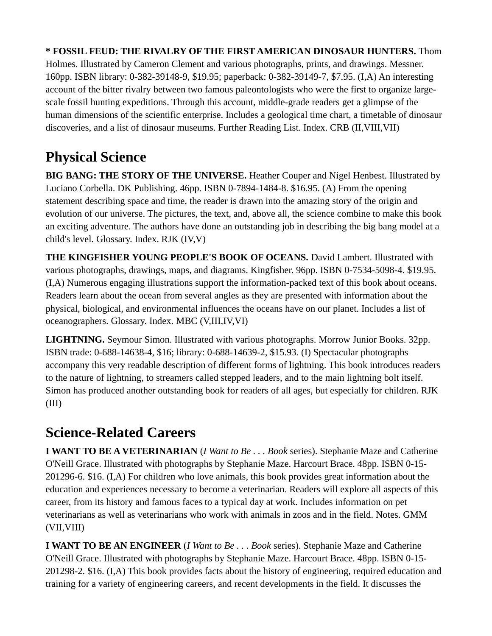**\* FOSSIL FEUD: THE RIVALRY OF THE FIRST AMERICAN DINOSAUR HUNTERS.** Thom Holmes. Illustrated by Cameron Clement and various photographs, prints, and drawings. Messner. 160pp. ISBN library: 0-382-39148-9, \$19.95; paperback: 0-382-39149-7, \$7.95. (I,A) An interesting account of the bitter rivalry between two famous paleontologists who were the first to organize largescale fossil hunting expeditions. Through this account, middle-grade readers get a glimpse of the human dimensions of the scientific enterprise. Includes a geological time chart, a timetable of dinosaur discoveries, and a list of dinosaur museums. Further Reading List. Index. CRB (II,VIII,VII)

# <span id="page-6-1"></span>**Physical Science**

**BIG BANG: THE STORY OF THE UNIVERSE.** Heather Couper and Nigel Henbest. Illustrated by Luciano Corbella. DK Publishing. 46pp. ISBN 0-7894-1484-8. \$16.95. (A) From the opening statement describing space and time, the reader is drawn into the amazing story of the origin and evolution of our universe. The pictures, the text, and, above all, the science combine to make this book an exciting adventure. The authors have done an outstanding job in describing the big bang model at a child's level. Glossary. Index. RJK (IV,V)

**THE KINGFISHER YOUNG PEOPLE'S BOOK OF OCEANS.** David Lambert. Illustrated with various photographs, drawings, maps, and diagrams. Kingfisher. 96pp. ISBN 0-7534-5098-4. \$19.95. (I,A) Numerous engaging illustrations support the information-packed text of this book about oceans. Readers learn about the ocean from several angles as they are presented with information about the physical, biological, and environmental influences the oceans have on our planet. Includes a list of oceanographers. Glossary. Index. MBC (V,III,IV,VI)

**LIGHTNING.** Seymour Simon. Illustrated with various photographs. Morrow Junior Books. 32pp. ISBN trade: 0-688-14638-4, \$16; library: 0-688-14639-2, \$15.93. (I) Spectacular photographs accompany this very readable description of different forms of lightning. This book introduces readers to the nature of lightning, to streamers called stepped leaders, and to the main lightning bolt itself. Simon has produced another outstanding book for readers of all ages, but especially for children. RJK (III)

## <span id="page-6-0"></span>**Science-Related Careers**

**I WANT TO BE A VETERINARIAN** (*I Want to Be . . . Book* series). Stephanie Maze and Catherine O'Neill Grace. Illustrated with photographs by Stephanie Maze. Harcourt Brace. 48pp. ISBN 0-15- 201296-6. \$16. (I,A) For children who love animals, this book provides great information about the education and experiences necessary to become a veterinarian. Readers will explore all aspects of this career, from its history and famous faces to a typical day at work. Includes information on pet veterinarians as well as veterinarians who work with animals in zoos and in the field. Notes. GMM (VII,VIII)

**I WANT TO BE AN ENGINEER** (*I Want to Be . . . Book* series). Stephanie Maze and Catherine O'Neill Grace. Illustrated with photographs by Stephanie Maze. Harcourt Brace. 48pp. ISBN 0-15- 201298-2. \$16. (I,A) This book provides facts about the history of engineering, required education and training for a variety of engineering careers, and recent developments in the field. It discusses the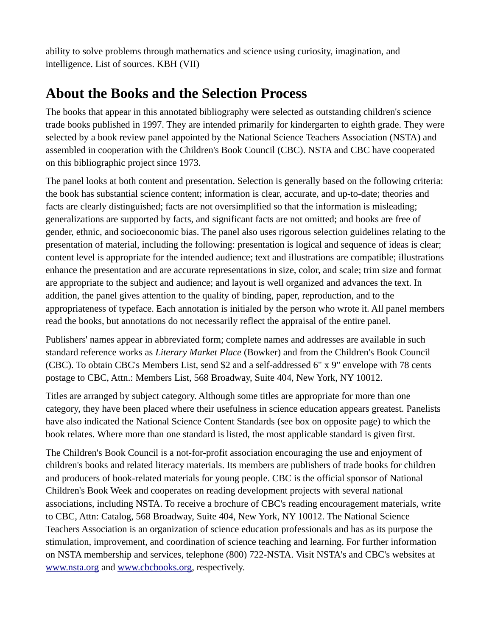ability to solve problems through mathematics and science using curiosity, imagination, and intelligence. List of sources. KBH (VII)

## <span id="page-7-0"></span>**About the Books and the Selection Process**

The books that appear in this annotated bibliography were selected as outstanding children's science trade books published in 1997. They are intended primarily for kindergarten to eighth grade. They were selected by a book review panel appointed by the National Science Teachers Association (NSTA) and assembled in cooperation with the Children's Book Council (CBC). NSTA and CBC have cooperated on this bibliographic project since 1973.

The panel looks at both content and presentation. Selection is generally based on the following criteria: the book has substantial science content; information is clear, accurate, and up-to-date; theories and facts are clearly distinguished; facts are not oversimplified so that the information is misleading; generalizations are supported by facts, and significant facts are not omitted; and books are free of gender, ethnic, and socioeconomic bias. The panel also uses rigorous selection guidelines relating to the presentation of material, including the following: presentation is logical and sequence of ideas is clear; content level is appropriate for the intended audience; text and illustrations are compatible; illustrations enhance the presentation and are accurate representations in size, color, and scale; trim size and format are appropriate to the subject and audience; and layout is well organized and advances the text. In addition, the panel gives attention to the quality of binding, paper, reproduction, and to the appropriateness of typeface. Each annotation is initialed by the person who wrote it. All panel members read the books, but annotations do not necessarily reflect the appraisal of the entire panel.

Publishers' names appear in abbreviated form; complete names and addresses are available in such standard reference works as *Literary Market Place* (Bowker) and from the Children's Book Council (CBC). To obtain CBC's Members List, send \$2 and a self-addressed 6" x 9" envelope with 78 cents postage to CBC, Attn.: Members List, 568 Broadway, Suite 404, New York, NY 10012.

Titles are arranged by subject category. Although some titles are appropriate for more than one category, they have been placed where their usefulness in science education appears greatest. Panelists have also indicated the National Science Content Standards (see box on opposite page) to which the book relates. Where more than one standard is listed, the most applicable standard is given first.

The Children's Book Council is a not-for-profit association encouraging the use and enjoyment of children's books and related literacy materials. Its members are publishers of trade books for children and producers of book-related materials for young people. CBC is the official sponsor of National Children's Book Week and cooperates on reading development projects with several national associations, including NSTA. To receive a brochure of CBC's reading encouragement materials, write to CBC, Attn: Catalog, 568 Broadway, Suite 404, New York, NY 10012. The National Science Teachers Association is an organization of science education professionals and has as its purpose the stimulation, improvement, and coordination of science teaching and learning. For further information on NSTA membership and services, telephone (800) 722-NSTA. Visit NSTA's and CBC's websites at [www.nsta.org](https://old.nsta.org/) and [www.cbcbooks.org,](http://www.cbcbooks.org/) respectively.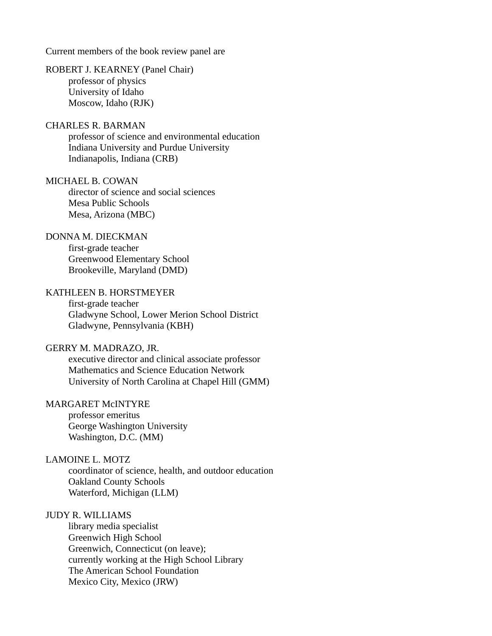Current members of the book review panel are

#### ROBERT J. KEARNEY (Panel Chair) professor of physics University of Idaho Moscow, Idaho (RJK)

### CHARLES R. BARMAN

professor of science and environmental education Indiana University and Purdue University Indianapolis, Indiana (CRB)

### MICHAEL B. COWAN

director of science and social sciences Mesa Public Schools Mesa, Arizona (MBC)

### DONNA M. DIECKMAN

first-grade teacher Greenwood Elementary School Brookeville, Maryland (DMD)

#### KATHLEEN B. HORSTMEYER

first-grade teacher Gladwyne School, Lower Merion School District Gladwyne, Pennsylvania (KBH)

### GERRY M. MADRAZO, JR.

executive director and clinical associate professor Mathematics and Science Education Network University of North Carolina at Chapel Hill (GMM)

### MARGARET McINTYRE

professor emeritus George Washington University Washington, D.C. (MM)

### LAMOINE L. MOTZ

coordinator of science, health, and outdoor education Oakland County Schools Waterford, Michigan (LLM)

#### JUDY R. WILLIAMS

library media specialist Greenwich High School Greenwich, Connecticut (on leave); currently working at the High School Library The American School Foundation Mexico City, Mexico (JRW)